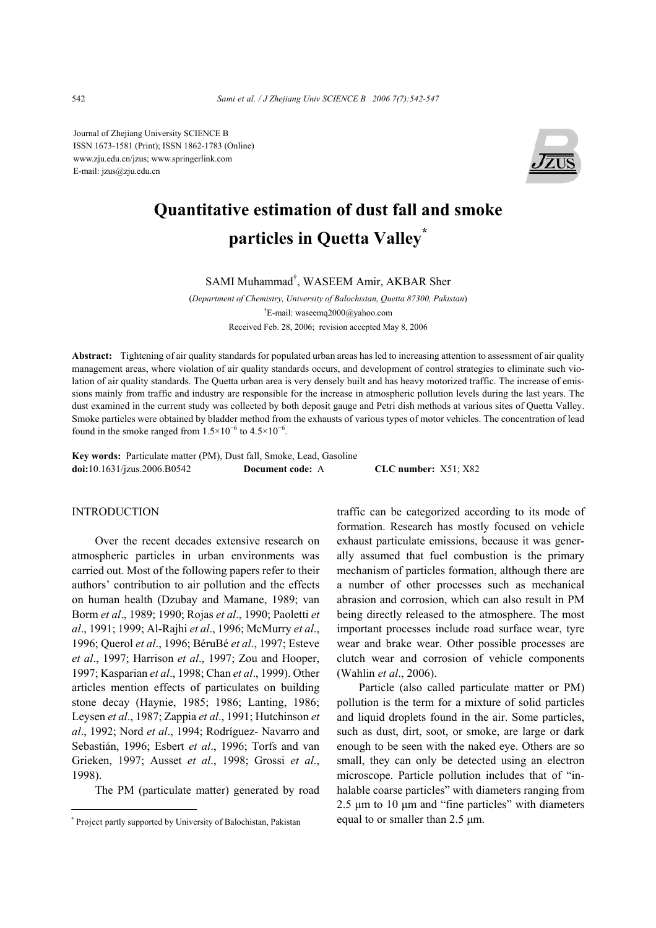Journal of Zhejiang University SCIENCE B ISSN 1673-1581 (Print); ISSN 1862-1783 (Online) www.zju.edu.cn/jzus; www.springerlink.com E-mail: jzus@zju.edu.cn



# **Quantitative estimation of dust fall and smoke particles in Quetta Valley\***

SAMI Muhammad† , WASEEM Amir, AKBAR Sher

(*Department of Chemistry, University of Balochistan, Quetta 87300, Pakistan*) † E-mail: waseemq2000@yahoo.com Received Feb. 28, 2006; revision accepted May 8, 2006

**Abstract:** Tightening of air quality standards for populated urban areas has led to increasing attention to assessment of air quality management areas, where violation of air quality standards occurs, and development of control strategies to eliminate such violation of air quality standards. The Quetta urban area is very densely built and has heavy motorized traffic. The increase of emissions mainly from traffic and industry are responsible for the increase in atmospheric pollution levels during the last years. The dust examined in the current study was collected by both deposit gauge and Petri dish methods at various sites of Quetta Valley. Smoke particles were obtained by bladder method from the exhausts of various types of motor vehicles. The concentration of lead found in the smoke ranged from  $1.5 \times 10^{-6}$  to  $4.5 \times 10^{-6}$ .

**Key words:** Particulate matter (PM), Dust fall, Smoke, Lead, Gasoline **doi:**10.1631/jzus.2006.B0542 **Document code:** A **CLC number:** X51; X82

## INTRODUCTION

Over the recent decades extensive research on atmospheric particles in urban environments was carried out. Most of the following papers refer to their authors' contribution to air pollution and the effects on human health (Dzubay and Mamane, 1989; van Borm *et al*., 1989; 1990; Rojas *et al*., 1990; Paoletti *et al*., 1991; 1999; Al-Rajhi *et al*., 1996; McMurry *et al*., 1996; Querol *et al*., 1996; BéruBé *et al*., 1997; Esteve *et al*., 1997; Harrison *et al*., 1997; Zou and Hooper, 1997; Kasparian *et al*., 1998; Chan *et al*., 1999). Other articles mention effects of particulates on building stone decay (Haynie, 1985; 1986; Lanting, 1986; Leysen *et al*., 1987; Zappia *et al*., 1991; Hutchinson *et al*., 1992; Nord *et al*., 1994; Rodríguez- Navarro and Sebastián, 1996; Esbert *et al*., 1996; Torfs and van Grieken, 1997; Ausset *et al*., 1998; Grossi *et al*., 1998).

The PM (particulate matter) generated by road

traffic can be categorized according to its mode of formation. Research has mostly focused on vehicle exhaust particulate emissions, because it was generally assumed that fuel combustion is the primary mechanism of particles formation, although there are a number of other processes such as mechanical abrasion and corrosion, which can also result in PM being directly released to the atmosphere. The most important processes include road surface wear, tyre wear and brake wear. Other possible processes are clutch wear and corrosion of vehicle components (Wahlin *et al*., 2006).

Particle (also called particulate matter or PM) pollution is the term for a mixture of solid particles and liquid droplets found in the air. Some particles, such as dust, dirt, soot, or smoke, are large or dark enough to be seen with the naked eye. Others are so small, they can only be detected using an electron microscope. Particle pollution includes that of "inhalable coarse particles" with diameters ranging from 2.5  $\mu$ m to 10  $\mu$ m and "fine particles" with diameters equal to or smaller than 2.5 µm.

<sup>\*</sup> Project partly supported by University of Balochistan, Pakistan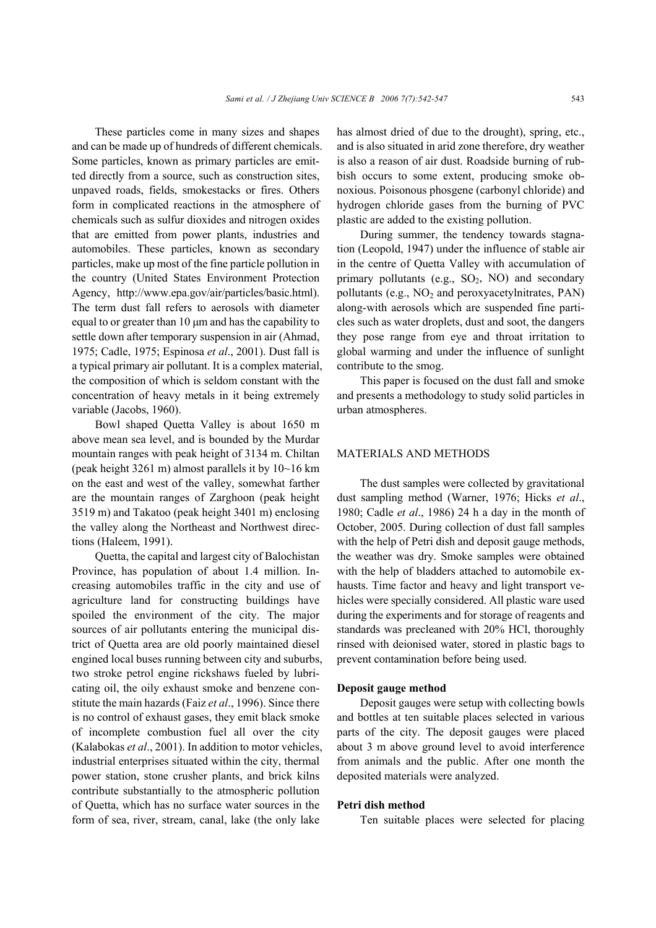These particles come in many sizes and shapes and can be made up of hundreds of different chemicals. Some particles, known as primary particles are emitted directly from a source, such as construction sites, unpaved roads, fields, smokestacks or fires. Others form in complicated reactions in the atmosphere of chemicals such as sulfur dioxides and nitrogen oxides that are emitted from power plants, industries and automobiles. These particles, known as secondary particles, make up most of the fine particle pollution in the country (United States Environment Protection Agency, http://www.epa.gov/air/particles/basic.html). The term dust fall refers to aerosols with diameter equal to or greater than 10 µm and has the capability to settle down after temporary suspension in air (Ahmad, 1975; Cadle, 1975; Espinosa *et al*., 2001). Dust fall is a typical primary air pollutant. It is a complex material, the composition of which is seldom constant with the concentration of heavy metals in it being extremely variable (Jacobs, 1960).

Bowl shaped Quetta Valley is about 1650 m above mean sea level, and is bounded by the Murdar mountain ranges with peak height of 3134 m. Chiltan (peak height 3261 m) almost parallels it by 10~16 km on the east and west of the valley, somewhat farther are the mountain ranges of Zarghoon (peak height 3519 m) and Takatoo (peak height 3401 m) enclosing the valley along the Northeast and Northwest directions (Haleem, 1991).

Quetta, the capital and largest city of Balochistan Province, has population of about 1.4 million. Increasing automobiles traffic in the city and use of agriculture land for constructing buildings have spoiled the environment of the city. The major sources of air pollutants entering the municipal district of Quetta area are old poorly maintained diesel engined local buses running between city and suburbs, two stroke petrol engine rickshaws fueled by lubricating oil, the oily exhaust smoke and benzene constitute the main hazards (Faiz *et al*., 1996). Since there is no control of exhaust gases, they emit black smoke of incomplete combustion fuel all over the city (Kalabokas *et al*., 2001). In addition to motor vehicles, industrial enterprises situated within the city, thermal power station, stone crusher plants, and brick kilns contribute substantially to the atmospheric pollution of Quetta, which has no surface water sources in the form of sea, river, stream, canal, lake (the only lake

has almost dried of due to the drought), spring, etc., and is also situated in arid zone therefore, dry weather is also a reason of air dust. Roadside burning of rubbish occurs to some extent, producing smoke obnoxious. Poisonous phosgene (carbonyl chloride) and hydrogen chloride gases from the burning of PVC plastic are added to the existing pollution.

During summer, the tendency towards stagnation (Leopold, 1947) under the influence of stable air in the centre of Quetta Valley with accumulation of primary pollutants (e.g.,  $SO<sub>2</sub>$ , NO) and secondary pollutants (e.g.,  $NO<sub>2</sub>$  and peroxyacetylnitrates, PAN) along-with aerosols which are suspended fine particles such as water droplets, dust and soot, the dangers they pose range from eye and throat irritation to global warming and under the influence of sunlight contribute to the smog.

This paper is focused on the dust fall and smoke and presents a methodology to study solid particles in urban atmospheres.

### MATERIALS AND METHODS

The dust samples were collected by gravitational dust sampling method (Warner, 1976; Hicks *et al*., 1980; Cadle *et al*., 1986) 24 h a day in the month of October, 2005. During collection of dust fall samples with the help of Petri dish and deposit gauge methods, the weather was dry. Smoke samples were obtained with the help of bladders attached to automobile exhausts. Time factor and heavy and light transport vehicles were specially considered. All plastic ware used during the experiments and for storage of reagents and standards was precleaned with 20% HCl, thoroughly rinsed with deionised water, stored in plastic bags to prevent contamination before being used.

#### **Deposit gauge method**

Deposit gauges were setup with collecting bowls and bottles at ten suitable places selected in various parts of the city. The deposit gauges were placed about 3 m above ground level to avoid interference from animals and the public. After one month the deposited materials were analyzed.

#### **Petri dish method**

Ten suitable places were selected for placing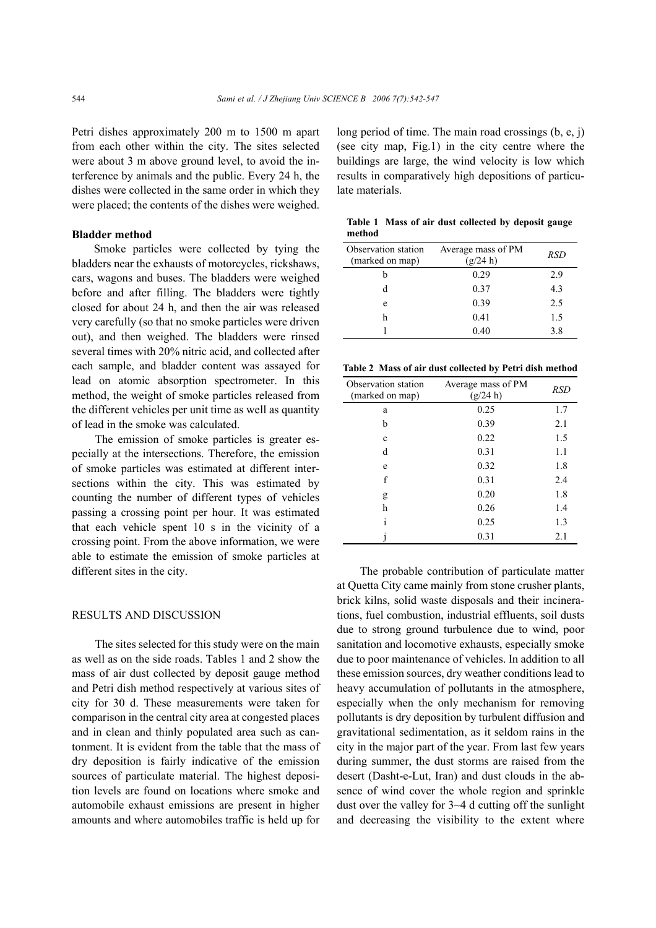Petri dishes approximately 200 m to 1500 m apart from each other within the city. The sites selected were about 3 m above ground level, to avoid the interference by animals and the public. Every 24 h, the dishes were collected in the same order in which they were placed; the contents of the dishes were weighed.

#### **Bladder method**

Smoke particles were collected by tying the bladders near the exhausts of motorcycles, rickshaws, cars, wagons and buses. The bladders were weighed before and after filling. The bladders were tightly closed for about 24 h, and then the air was released very carefully (so that no smoke particles were driven out), and then weighed. The bladders were rinsed several times with 20% nitric acid, and collected after each sample, and bladder content was assayed for lead on atomic absorption spectrometer. In this method, the weight of smoke particles released from the different vehicles per unit time as well as quantity of lead in the smoke was calculated.

The emission of smoke particles is greater especially at the intersections. Therefore, the emission of smoke particles was estimated at different intersections within the city. This was estimated by counting the number of different types of vehicles passing a crossing point per hour. It was estimated that each vehicle spent 10 s in the vicinity of a crossing point. From the above information, we were able to estimate the emission of smoke particles at different sites in the city.

#### RESULTS AND DISCUSSION

The sites selected for this study were on the main as well as on the side roads. Tables 1 and 2 show the mass of air dust collected by deposit gauge method and Petri dish method respectively at various sites of city for 30 d. These measurements were taken for comparison in the central city area at congested places and in clean and thinly populated area such as cantonment. It is evident from the table that the mass of dry deposition is fairly indicative of the emission sources of particulate material. The highest deposition levels are found on locations where smoke and automobile exhaust emissions are present in higher amounts and where automobiles traffic is held up for long period of time. The main road crossings (b, e, j) (see city map, Fig.1) in the city centre where the buildings are large, the wind velocity is low which results in comparatively high depositions of particulate materials.

|        |  |  | Table 1 Mass of air dust collected by deposit gauge |  |  |
|--------|--|--|-----------------------------------------------------|--|--|
| method |  |  |                                                     |  |  |

| Observation station<br>(marked on map) | Average mass of PM<br>(g/24 h) | <i>RSD</i> |
|----------------------------------------|--------------------------------|------------|
|                                        | 0.29                           | 2.9        |
| d                                      | 0.37                           | 4.3        |
| e                                      | 0.39                           | 2.5        |
| h                                      | 0.41                           | 1.5        |
|                                        | 0.40                           | 3.8        |

| Table 2 Mass of air dust collected by Petri dish method |
|---------------------------------------------------------|
|---------------------------------------------------------|

| Observation station<br>(marked on map) | Average mass of PM<br>(g/24 h) | <b>RSD</b> |
|----------------------------------------|--------------------------------|------------|
| a                                      | 0.25                           | 1.7        |
| b                                      | 0.39                           | 2.1        |
| $\mathbf c$                            | 0.22                           | 1.5        |
| d                                      | 0.31                           | 1.1        |
| e                                      | 0.32                           | 1.8        |
| f                                      | 0.31                           | 2.4        |
| g                                      | 0.20                           | 1.8        |
| h                                      | 0.26                           | 1.4        |
| i                                      | 0.25                           | 1.3        |
|                                        | 0.31                           | 2.1        |

The probable contribution of particulate matter at Quetta City came mainly from stone crusher plants, brick kilns, solid waste disposals and their incinerations, fuel combustion, industrial effluents, soil dusts due to strong ground turbulence due to wind, poor sanitation and locomotive exhausts, especially smoke due to poor maintenance of vehicles. In addition to all these emission sources, dry weather conditions lead to heavy accumulation of pollutants in the atmosphere, especially when the only mechanism for removing pollutants is dry deposition by turbulent diffusion and gravitational sedimentation, as it seldom rains in the city in the major part of the year. From last few years during summer, the dust storms are raised from the desert (Dasht-e-Lut, Iran) and dust clouds in the absence of wind cover the whole region and sprinkle dust over the valley for 3~4 d cutting off the sunlight and decreasing the visibility to the extent where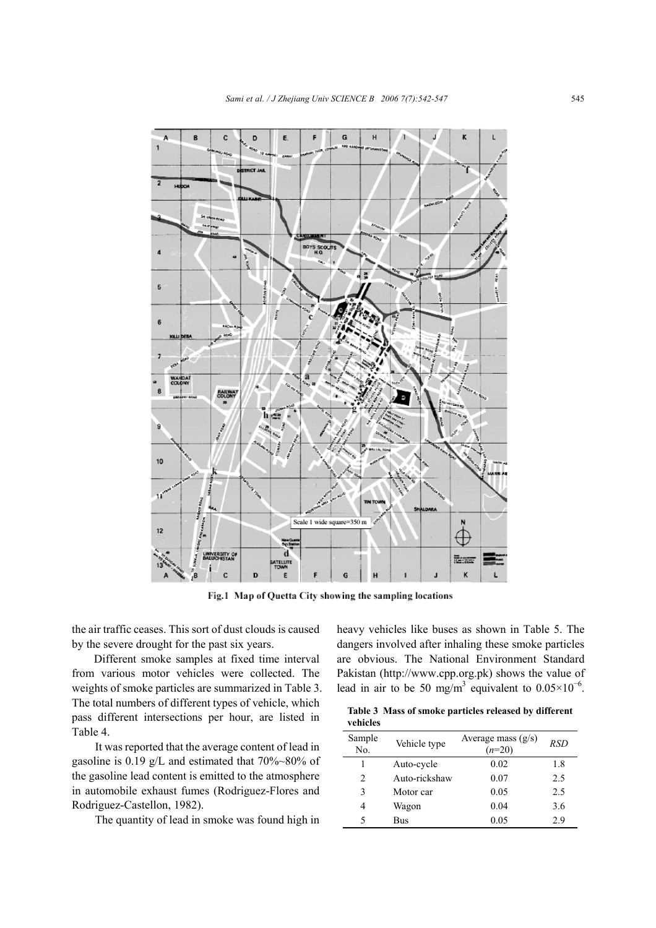

Fig.1 Map of Quetta City showing the sampling locations

the air traffic ceases. This sort of dust clouds is caused by the severe drought for the past six years.

Different smoke samples at fixed time interval from various motor vehicles were collected. The weights of smoke particles are summarized in Table 3. The total numbers of different types of vehicle, which pass different intersections per hour, are listed in Table 4.

It was reported that the average content of lead in gasoline is 0.19 g/L and estimated that  $70\%~80\%$  of the gasoline lead content is emitted to the atmosphere in automobile exhaust fumes (Rodriguez-Flores and Rodriguez-Castellon, 1982).

The quantity of lead in smoke was found high in

heavy vehicles like buses as shown in Table 5. The dangers involved after inhaling these smoke particles are obvious. The National Environment Standard Pakistan (http://www.cpp.org.pk) shows the value of lead in air to be 50 mg/m<sup>3</sup> equivalent to  $0.05 \times 10^{-6}$ .

**Table 3 Mass of smoke particles released by different vehicles** 

| Sample<br>No. | Vehicle type  | Average mass $(g/s)$<br>$(n=20)$ | RSD |
|---------------|---------------|----------------------------------|-----|
|               | Auto-cycle    | 0.02                             | 1.8 |
| 2             | Auto-rickshaw | 0.07                             | 2.5 |
| 3             | Motor car     | 0.05                             | 2.5 |
| 4             | Wagon         | 0.04                             | 3.6 |
| 5             | Bus           | 0.05                             | 29  |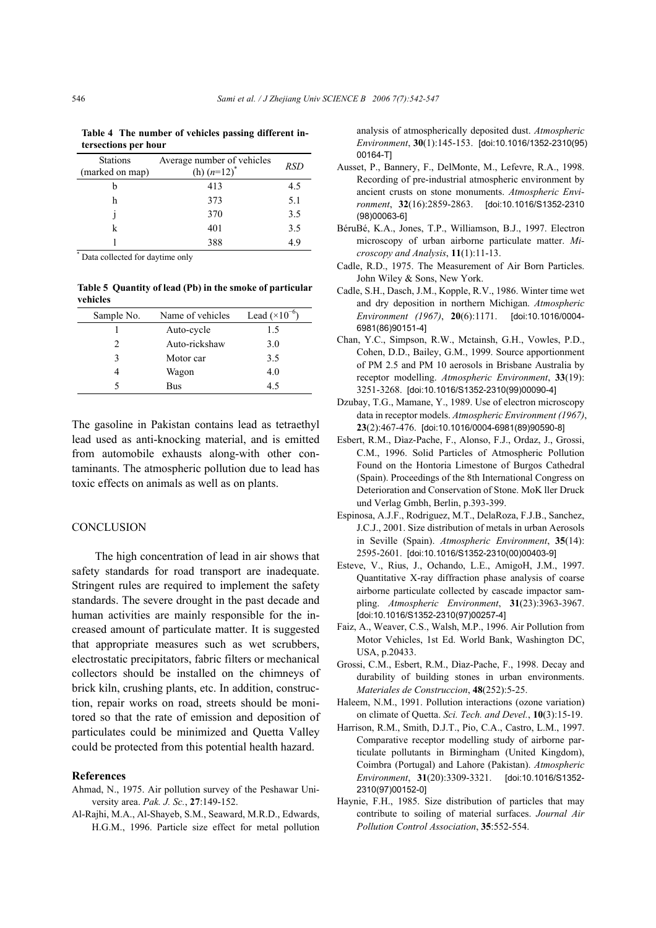| <b>Stations</b><br>(marked on map) | Average number of vehicles<br>(h) $(n=12)^{*}$ | <b>RSD</b> |
|------------------------------------|------------------------------------------------|------------|
| h                                  | 413                                            | 4.5        |
| h                                  | 373                                            | 5.1        |
|                                    | 370                                            | 3.5        |
| k                                  | 401                                            | 3.5        |
|                                    | 388                                            | 49         |

**Table 4 The number of vehicles passing different intersections per hour** 

\* Data collected for daytime only

**Table 5 Quantity of lead (Pb) in the smoke of particular vehicles** 

| Sample No. | Name of vehicles | Lead $(\times 10^{-6})$ |
|------------|------------------|-------------------------|
|            | Auto-cycle       | 1.5                     |
|            | Auto-rickshaw    | 3.0                     |
| κ          | Motor car        | 3.5                     |
|            | Wagon            | 4.0                     |
|            | Bus              | 45                      |

The gasoline in Pakistan contains lead as tetraethyl lead used as anti-knocking material, and is emitted from automobile exhausts along-with other contaminants. The atmospheric pollution due to lead has toxic effects on animals as well as on plants.

### **CONCLUSION**

The high concentration of lead in air shows that safety standards for road transport are inadequate. Stringent rules are required to implement the safety standards. The severe drought in the past decade and human activities are mainly responsible for the increased amount of particulate matter. It is suggested that appropriate measures such as wet scrubbers, electrostatic precipitators, fabric filters or mechanical collectors should be installed on the chimneys of brick kiln, crushing plants, etc. In addition, construction, repair works on road, streets should be monitored so that the rate of emission and deposition of particulates could be minimized and Quetta Valley could be protected from this potential health hazard.

#### **References**

- Ahmad, N., 1975. Air pollution survey of the Peshawar University area. *Pak. J. Sc.*, **27**:149-152.
- Al-Rajhi, M.A., Al-Shayeb, S.M., Seaward, M.R.D., Edwards, H.G.M., 1996. Particle size effect for metal pollution

analysis of atmospherically deposited dust. *Atmospheric Environment*, **30**(1):145-153. [doi:10.1016/1352-2310(95) 00164-T]

- Ausset, P., Bannery, F., DelMonte, M., Lefevre, R.A., 1998. Recording of pre-industrial atmospheric environment by ancient crusts on stone monuments. *Atmospheric Environment*, **32**(16):2859-2863. [doi:10.1016/S1352-2310 (98)00063-6]
- BéruBé, K.A., Jones, T.P., Williamson, B.J., 1997. Electron microscopy of urban airborne particulate matter. *Microscopy and Analysis*, **11**(1):11-13.
- Cadle, R.D., 1975. The Measurement of Air Born Particles. John Wiley & Sons, New York.
- Cadle, S.H., Dasch, J.M., Kopple, R.V., 1986. Winter time wet and dry deposition in northern Michigan. *Atmospheric Environment (1967)*, **20**(6):1171. [doi:10.1016/0004- 6981(86)90151-4]
- Chan, Y.C., Simpson, R.W., Mctainsh, G.H., Vowles, P.D., Cohen, D.D., Bailey, G.M., 1999. Source apportionment of PM 2.5 and PM 10 aerosols in Brisbane Australia by receptor modelling. *Atmospheric Environment*, **33**(19): 3251-3268. [doi:10.1016/S1352-2310(99)00090-4]
- Dzubay, T.G., Mamane, Y., 1989. Use of electron microscopy data in receptor models. *Atmospheric Environment (1967)*, **23**(2):467-476. [doi:10.1016/0004-6981(89)90590-8]
- Esbert, R.M., Dìaz-Pache, F., Alonso, F.J., Ordaz, J., Grossi, C.M., 1996. Solid Particles of Atmospheric Pollution Found on the Hontoria Limestone of Burgos Cathedral (Spain). Proceedings of the 8th International Congress on Deterioration and Conservation of Stone. MoK ller Druck und Verlag Gmbh, Berlin, p.393-399.
- Espinosa, A.J.F., Rodriguez, M.T., DelaRoza, F.J.B., Sanchez, J.C.J., 2001. Size distribution of metals in urban Aerosols in Seville (Spain). *Atmospheric Environment*, **35**(14): 2595-2601. [doi:10.1016/S1352-2310(00)00403-9]
- Esteve, V., Rius, J., Ochando, L.E., AmigoH, J.M., 1997. Quantitative X-ray diffraction phase analysis of coarse airborne particulate collected by cascade impactor sampling. *Atmospheric Environment*, **31**(23):3963-3967. [doi:10.1016/S1352-2310(97)00257-4]
- Faiz, A., Weaver, C.S., Walsh, M.P., 1996. Air Pollution from Motor Vehicles, 1st Ed. World Bank, Washington DC, USA, p.20433.
- Grossi, C.M., Esbert, R.M., Dìaz-Pache, F., 1998. Decay and durability of building stones in urban environments. *Materiales de Construccion*, **48**(252):5-25.
- Haleem, N.M., 1991. Pollution interactions (ozone variation) on climate of Quetta. *Sci. Tech. and Devel.*, **10**(3):15-19.
- Harrison, R.M., Smith, D.J.T., Pio, C.A., Castro, L.M., 1997. Comparative receptor modelling study of airborne particulate pollutants in Birmingham (United Kingdom), Coimbra (Portugal) and Lahore (Pakistan). *Atmospheric Environment*, **31**(20):3309-3321. [doi:10.1016/S1352- 2310(97)00152-0]
- Haynie, F.H., 1985. Size distribution of particles that may contribute to soiling of material surfaces. *Journal Air Pollution Control Association*, **35**:552-554.